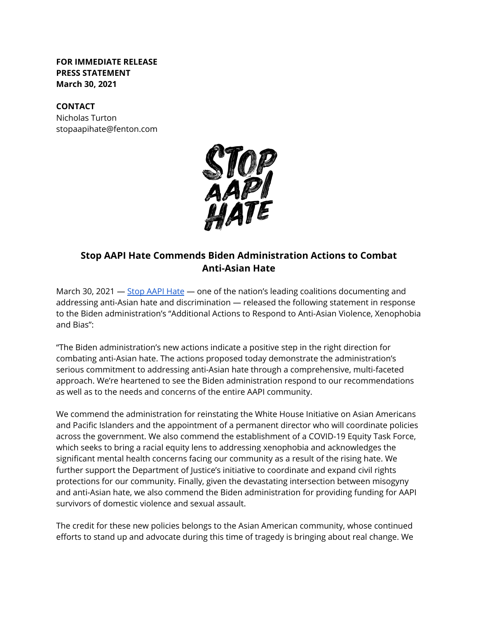**FOR IMMEDIATE RELEASE PRESS STATEMENT March 30, 2021**

## **CONTACT**

Nicholas Turton stopaapihate@fenton.com



## **Stop AAPI Hate Commends Biden Administration Actions to Combat Anti-Asian Hate**

March 30, 2021  $-$  [Stop AAPI Hate](https://stopaapihate.org/)  $-$  one of the nation's leading coalitions documenting and addressing anti-Asian hate and discrimination — released the following statement in response to the Biden administration's "Additional Actions to Respond to Anti-Asian Violence, Xenophobia and Bias":

"The Biden administration's new actions indicate a positive step in the right direction for combating anti-Asian hate. The actions proposed today demonstrate the administration's serious commitment to addressing anti-Asian hate through a comprehensive, multi-faceted approach. We're heartened to see the Biden administration respond to our recommendations as well as to the needs and concerns of the entire AAPI community.

We commend the administration for reinstating the White House Initiative on Asian Americans and Pacific Islanders and the appointment of a permanent director who will coordinate policies across the government. We also commend the establishment of a COVID-19 Equity Task Force, which seeks to bring a racial equity lens to addressing xenophobia and acknowledges the significant mental health concerns facing our community as a result of the rising hate. We further support the Department of Justice's initiative to coordinate and expand civil rights protections for our community. Finally, given the devastating intersection between misogyny and anti-Asian hate, we also commend the Biden administration for providing funding for AAPI survivors of domestic violence and sexual assault.

The credit for these new policies belongs to the Asian American community, whose continued efforts to stand up and advocate during this time of tragedy is bringing about real change. We